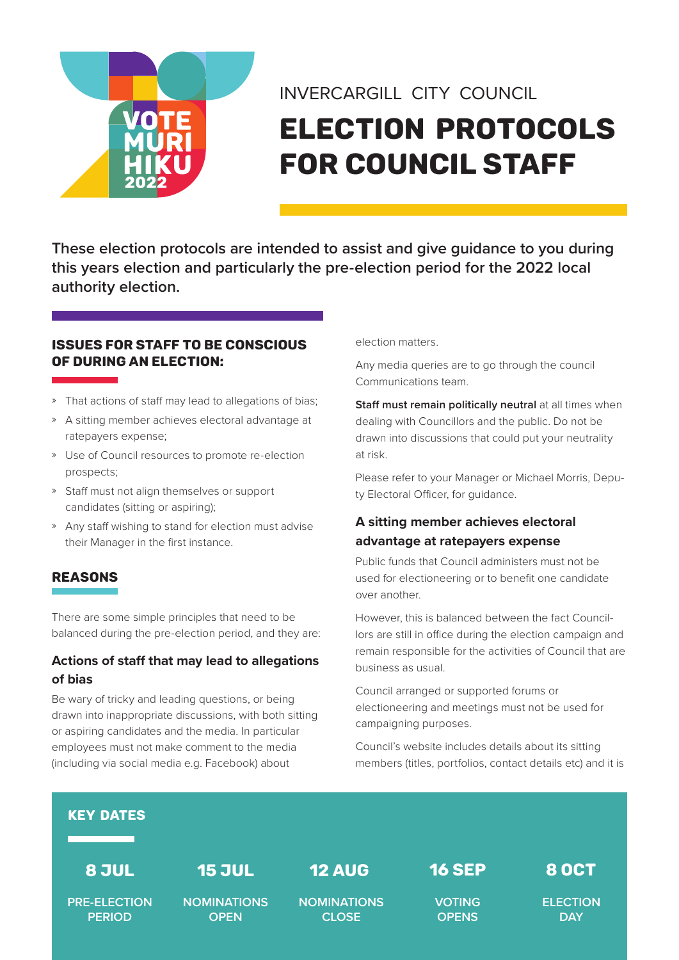

# INVERCARGILL CITY COUNCIL Election protocols for Council staff

**These election protocols are intended to assist and give guidance to you during this years election and particularly the pre-election period for the 2022 local authority election.**

#### ISSUES FOR STAFF TO BE CONSCIOUS OF DURING AN ELECTION:

- » That actions of staff may lead to allegations of bias;
- » A sitting member achieves electoral advantage at ratepayers expense;
- » Use of Council resources to promote re-election prospects;
- » Staff must not align themselves or support candidates (sitting or aspiring);
- » Any staff wishing to stand for election must advise their Manager in the first instance.

# REASONS

There are some simple principles that need to be balanced during the pre-election period, and they are:

#### **Actions of staff that may lead to allegations of bias**

Be wary of tricky and leading questions, or being drawn into inappropriate discussions, with both sitting or aspiring candidates and the media. In particular employees must not make comment to the media (including via social media e.g. Facebook) about

election matters.

Any media queries are to go through the council Communications team.

**Staff must remain politically neutral at all times when** dealing with Councillors and the public. Do not be drawn into discussions that could put your neutrality at risk.

Please refer to your Manager or Michael Morris, Deputy Electoral Officer, for guidance.

# **A sitting member achieves electoral advantage at ratepayers expense**

Public funds that Council administers must not be used for electioneering or to benefit one candidate over another.

However, this is balanced between the fact Councillors are still in office during the election campaign and remain responsible for the activities of Council that are business as usual.

Council arranged or supported forums or electioneering and meetings must not be used for campaigning purposes.

Council's website includes details about its sitting members (titles, portfolios, contact details etc) and it is